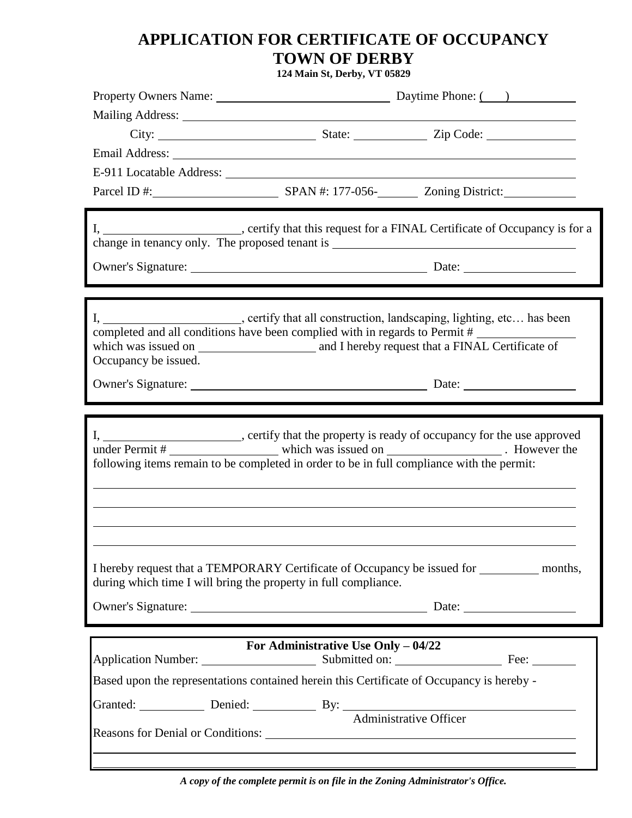## **APPLICATION FOR CERTIFICATE OF OCCUPANCY TOWN OF DERBY**

**124 Main St, Derby, VT 05829**

|                                                                 | Email Address: No. 2014 19:30 and 2014 19:30 and 20:30 and 20:30 and 20:30 and 20:30 and 20:30 and 20:30 and 20:30 and 20:30 and 20:30 and 20:30 and 20:30 and 20:30 and 20:30 and 20:30 and 20:30 and 20:30 and 20:30 and 20: |  |
|-----------------------------------------------------------------|--------------------------------------------------------------------------------------------------------------------------------------------------------------------------------------------------------------------------------|--|
|                                                                 |                                                                                                                                                                                                                                |  |
|                                                                 |                                                                                                                                                                                                                                |  |
|                                                                 | I, ________________________, certify that this request for a FINAL Certificate of Occupancy is for a                                                                                                                           |  |
|                                                                 |                                                                                                                                                                                                                                |  |
|                                                                 |                                                                                                                                                                                                                                |  |
| Occupancy be issued.                                            | I, _______________________, certify that all construction, landscaping, lighting, etc has been<br>completed and all conditions have been complied with in regards to Permit #                                                  |  |
|                                                                 |                                                                                                                                                                                                                                |  |
|                                                                 |                                                                                                                                                                                                                                |  |
|                                                                 | I, _______________________, certify that the property is ready of occupancy for the use approved<br>following items remain to be completed in order to be in full compliance with the permit:                                  |  |
| during which time I will bring the property in full compliance. | I hereby request that a TEMPORARY Certificate of Occupancy be issued for ____________ months,                                                                                                                                  |  |
| For Administrative Use Only - 04/22                             |                                                                                                                                                                                                                                |  |
|                                                                 |                                                                                                                                                                                                                                |  |
|                                                                 | Based upon the representations contained herein this Certificate of Occupancy is hereby -                                                                                                                                      |  |
|                                                                 | Granted: Denied: Denied: By: Administrative Officer                                                                                                                                                                            |  |
| Reasons for Denial or Conditions:                               |                                                                                                                                                                                                                                |  |
|                                                                 | <u> 1989 - Johann Stoff, deutscher Stoffen und der Stoffen und der Stoffen und der Stoffen und der Stoffen und de</u>                                                                                                          |  |

*A copy of the complete permit is on file in the Zoning Administrator's Office.*